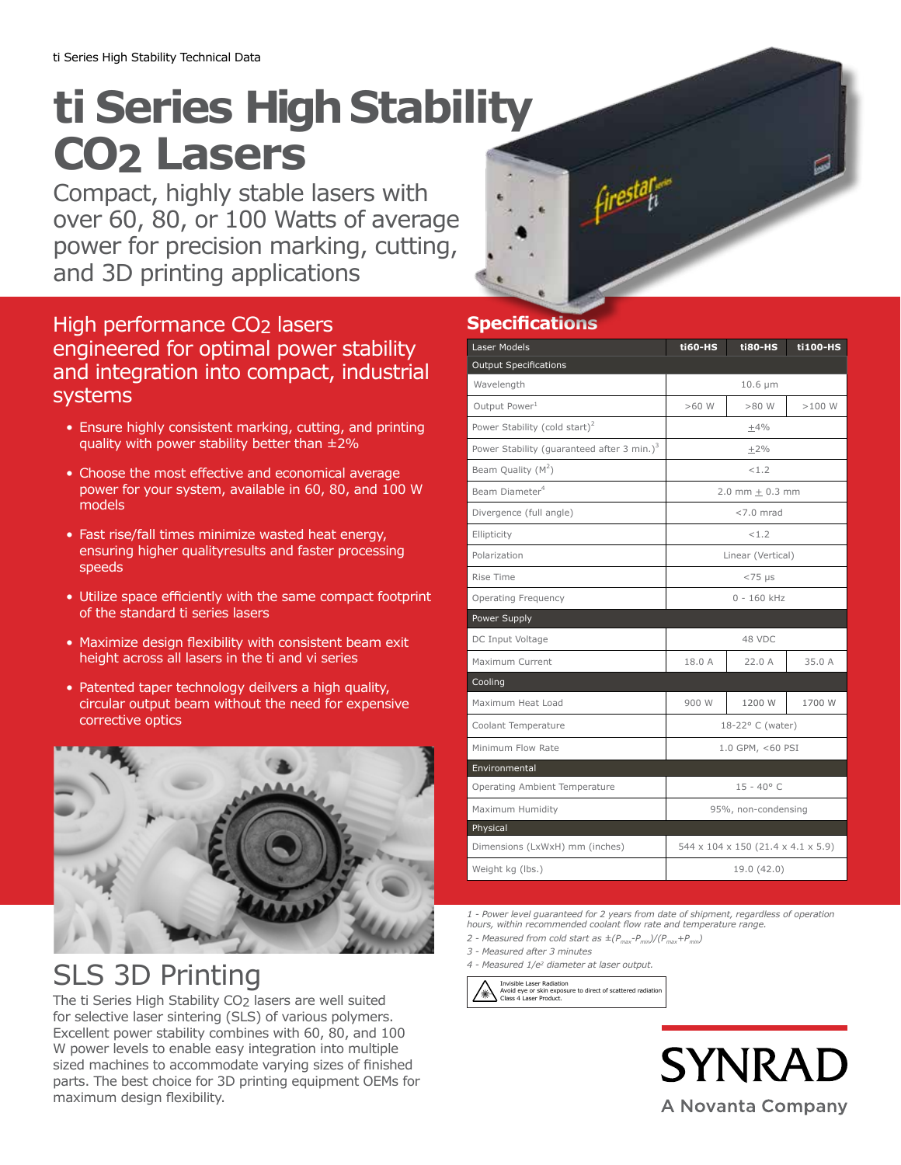## **ti Series High Stability CO2 Lasers**

Compact, highly stable lasers with over 60, 80, or 100 Watts of average power for precision marking, cutting, and 3D printing applications



## High performance CO2 lasers engineered for optimal power stability and integration into compact, industrial systems

- Ensure highly consistent marking, cutting, and printing quality with power stability better than ±2%
- Choose the most effective and economical average power for your system, available in 60, 80, and 100 W models
- Fast rise/fall times minimize wasted heat energy, ensuring higher qualityresults and faster processing speeds
- Utilize space efficiently with the same compact footprint of the standard ti series lasers
- Maximize design flexibility with consistent beam exit height across all lasers in the ti and vi series
- Patented taper technology deilvers a high quality, circular output beam without the need for expensive corrective optics



## SLS 3D Printing

The ti Series High Stability CO2 lasers are well suited for selective laser sintering (SLS) of various polymers. Excellent power stability combines with 60, 80, and 100 W power levels to enable easy integration into multiple sized machines to accommodate varying sizes of finished parts. The best choice for 3D printing equipment OEMs for maximum design flexibility.

## **Specifications**

| Laser Models                                           | <b>ti60-HS</b>                     | ti80-HS | ti100-HS |
|--------------------------------------------------------|------------------------------------|---------|----------|
| <b>Output Specifications</b>                           |                                    |         |          |
| Wavelength                                             | $10.6 \mu m$                       |         |          |
| Output Power <sup>1</sup>                              | $>60$ W                            | $>80$ W | >100W    |
| Power Stability (cold start) <sup>2</sup>              | $+4%$                              |         |          |
| Power Stability (guaranteed after 3 min.) <sup>3</sup> | $\pm 2\%$                          |         |          |
| Beam Quality $(M^2)$                                   | < 1.2                              |         |          |
| Beam Diameter <sup>4</sup>                             | $2.0$ mm + $0.3$ mm                |         |          |
| Divergence (full angle)                                | $< 7.0$ mrad                       |         |          |
| Ellipticity                                            | < 1.2                              |         |          |
| Polarization                                           | Linear (Vertical)                  |         |          |
| Rise Time                                              | $< 75$ µs                          |         |          |
| <b>Operating Frequency</b>                             | $0 - 160$ kHz                      |         |          |
| Power Supply                                           |                                    |         |          |
| DC Input Voltage                                       | 48 VDC                             |         |          |
| Maximum Current                                        | 18.0 A                             | 22.0A   | 35.0A    |
| Cooling                                                |                                    |         |          |
| Maximum Heat Load                                      | 900 W                              | 1200 W  | 1700 W   |
| Coolant Temperature                                    | 18-22° C (water)                   |         |          |
| Minimum Flow Rate                                      | 1.0 GPM, <60 PSI                   |         |          |
| Environmental                                          |                                    |         |          |
| Operating Ambient Temperature                          | $15 - 40^{\circ}$ C                |         |          |
| Maximum Humidity                                       | 95%, non-condensing                |         |          |
| Physical                                               |                                    |         |          |
| Dimensions (LxWxH) mm (inches)                         | 544 x 104 x 150 (21.4 x 4.1 x 5.9) |         |          |
| Weight kg (lbs.)                                       | 19.0 (42.0)                        |         |          |

*1 - Power level guaranteed for 2 years from date of shipment, regardless of operation hours, within recommended coolant flow rate and temperature range.*

- 2 Measured from cold start as  $\pm (P_{max} P_{min})/(P_{max} + P_{min})$
- *3 Measured after 3 minutes*
- *4 Measured 1/e2 diameter at laser output.*

Invisible Laser Radiation Avoid eye or skin exposure to direct of scattered radiation Class 4 Laser Product.